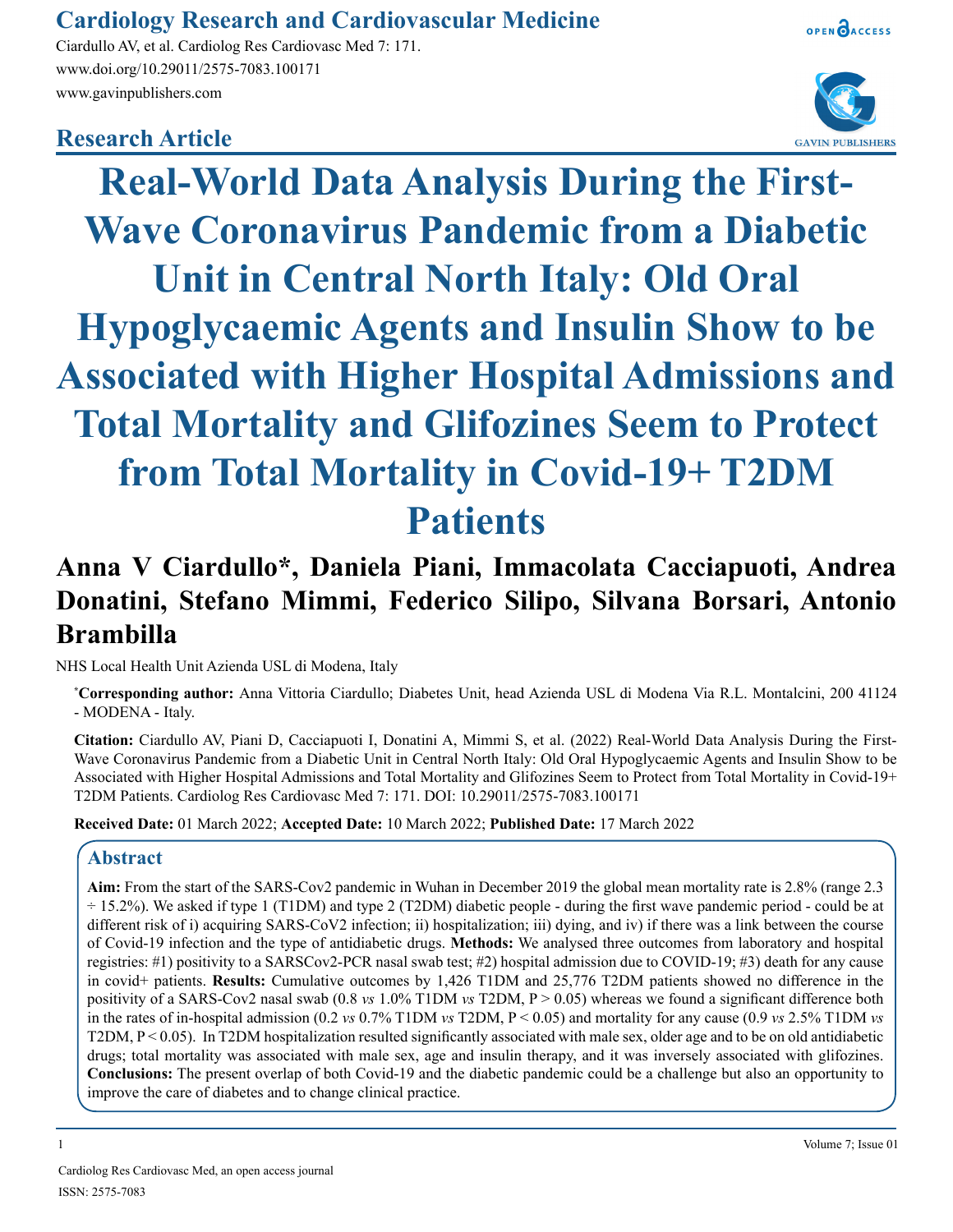# **Cardiology Research and Cardiovascular Medicine**

Ciardullo AV, et al. Cardiolog Res Cardiovasc Med 7: 171. www.doi.org/10.29011/2575-7083.100171 www.gavinpublishers.com

# **Research Article**



**GAVIN PUBLISHERS** 

OPEN CACCESS

**Real-World Data Analysis During the First-Wave Coronavirus Pandemic from a Diabetic Unit in Central North Italy: Old Oral Hypoglycaemic Agents and Insulin Show to be Associated with Higher Hospital Admissions and Total Mortality and Glifozines Seem to Protect from Total Mortality in Covid-19+ T2DM Patients**

# **Anna V Ciardullo\*, Daniela Piani, Immacolata Cacciapuoti, Andrea Donatini, Stefano Mimmi, Federico Silipo, Silvana Borsari, Antonio Brambilla**

NHS Local Health Unit Azienda USL di Modena, Italy

**\* Corresponding author:** Anna Vittoria Ciardullo; Diabetes Unit, head Azienda USL di Modena Via R.L. Montalcini, 200 41124 - MODENA - Italy.

**Citation:** Ciardullo AV, Piani D, Cacciapuoti I, Donatini A, Mimmi S, et al. (2022) Real-World Data Analysis During the First-Wave Coronavirus Pandemic from a Diabetic Unit in Central North Italy: Old Oral Hypoglycaemic Agents and Insulin Show to be Associated with Higher Hospital Admissions and Total Mortality and Glifozines Seem to Protect from Total Mortality in Covid-19+ T2DM Patients. Cardiolog Res Cardiovasc Med 7: 171. DOI: 10.29011/2575-7083.100171

**Received Date:** 01 March 2022; **Accepted Date:** 10 March 2022; **Published Date:** 17 March 2022

## **Abstract**

**Aim:** From the start of the SARS-Cov2 pandemic in Wuhan in December 2019 the global mean mortality rate is 2.8% (range 2.3 ÷ 15.2%). We asked if type 1 (T1DM) and type 2 (T2DM) diabetic people - during the first wave pandemic period - could be at different risk of i) acquiring SARS-CoV2 infection; ii) hospitalization; iii) dying, and iv) if there was a link between the course of Covid-19 infection and the type of antidiabetic drugs. **Methods:** We analysed three outcomes from laboratory and hospital registries: #1) positivity to a SARSCov2-PCR nasal swab test; #2) hospital admission due to COVID-19; #3) death for any cause in covid+ patients. **Results:** Cumulative outcomes by 1,426 T1DM and 25,776 T2DM patients showed no difference in the positivity of a SARS-Cov2 nasal swab (0.8 *vs* 1.0% T1DM *vs* T2DM, P > 0.05) whereas we found a significant difference both in the rates of in-hospital admission (0.2 *vs* 0.7% T1DM *vs* T2DM, P < 0.05) and mortality for any cause (0.9 *vs* 2.5% T1DM *vs* T2DM,  $P < 0.05$ ). In T2DM hospitalization resulted significantly associated with male sex, older age and to be on old antidiabetic drugs; total mortality was associated with male sex, age and insulin therapy, and it was inversely associated with glifozines. **Conclusions:** The present overlap of both Covid-19 and the diabetic pandemic could be a challenge but also an opportunity to improve the care of diabetes and to change clinical practice.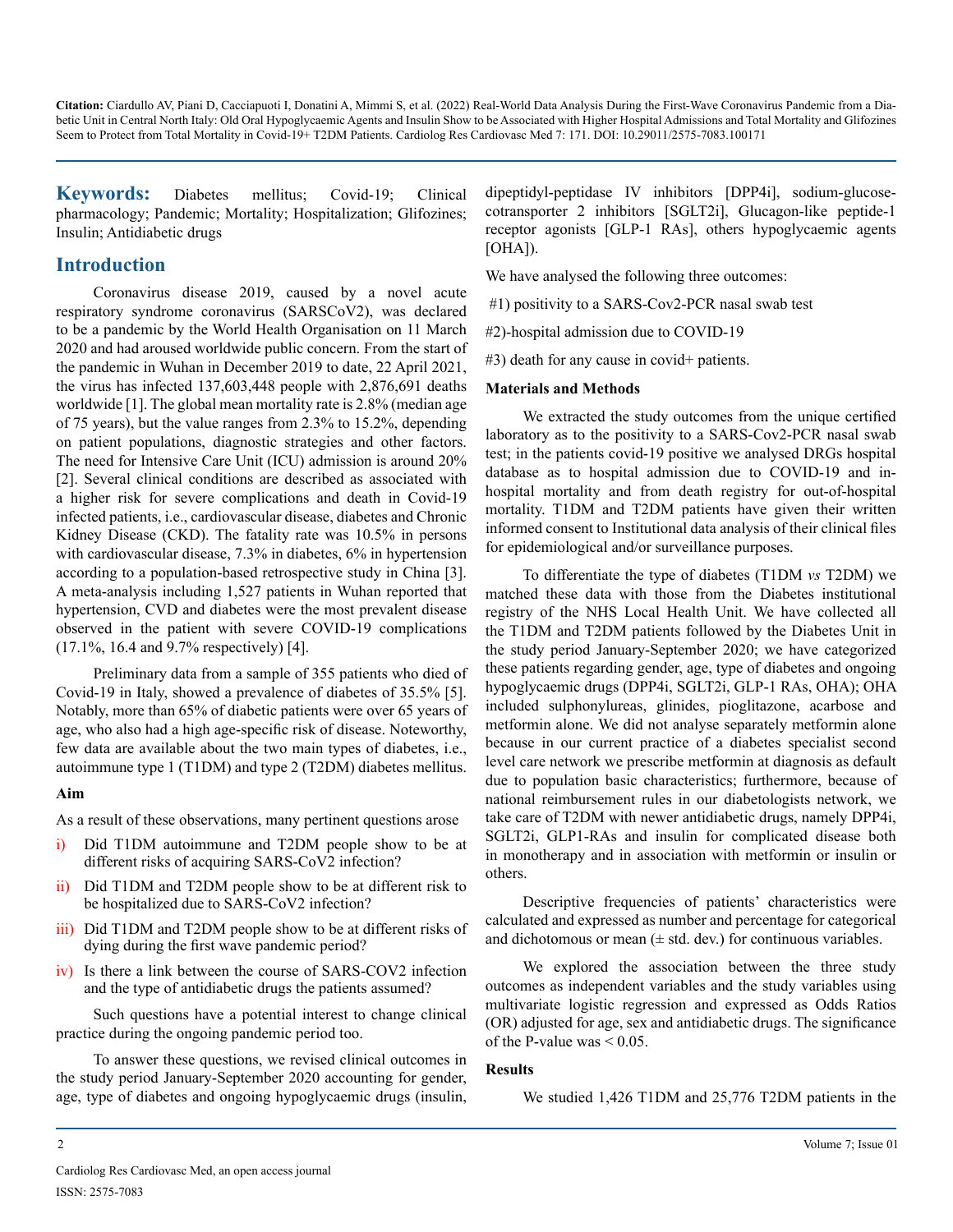**Keywords:** Diabetes mellitus; Covid-19; Clinical pharmacology; Pandemic; Mortality; Hospitalization; Glifozines; Insulin; Antidiabetic drugs

## **Introduction**

Coronavirus disease 2019, caused by a novel acute respiratory syndrome coronavirus (SARSCoV2), was declared to be a pandemic by the World Health Organisation on 11 March 2020 and had aroused worldwide public concern. From the start of the pandemic in Wuhan in December 2019 to date, 22 April 2021, the virus has infected 137,603,448 people with 2,876,691 deaths worldwide [1]. The global mean mortality rate is 2.8% (median age of 75 years), but the value ranges from 2.3% to 15.2%, depending on patient populations, diagnostic strategies and other factors. The need for Intensive Care Unit (ICU) admission is around 20% [2]. Several clinical conditions are described as associated with a higher risk for severe complications and death in Covid-19 infected patients, i.e., cardiovascular disease, diabetes and Chronic Kidney Disease (CKD). The fatality rate was 10.5% in persons with cardiovascular disease, 7.3% in diabetes, 6% in hypertension according to a population-based retrospective study in China [3]. A meta-analysis including 1,527 patients in Wuhan reported that hypertension, CVD and diabetes were the most prevalent disease observed in the patient with severe COVID-19 complications (17.1%, 16.4 and 9.7% respectively) [4].

Preliminary data from a sample of 355 patients who died of Covid-19 in Italy, showed a prevalence of diabetes of 35.5% [5]. Notably, more than 65% of diabetic patients were over 65 years of age, who also had a high age-specific risk of disease. Noteworthy, few data are available about the two main types of diabetes, i.e., autoimmune type 1 (T1DM) and type 2 (T2DM) diabetes mellitus.

#### **Aim**

As a result of these observations, many pertinent questions arose

- Did T1DM autoimmune and T2DM people show to be at different risks of acquiring SARS-CoV2 infection?
- ii) Did T1DM and T2DM people show to be at different risk to be hospitalized due to SARS-CoV2 infection?
- iii) Did T1DM and T2DM people show to be at different risks of dying during the first wave pandemic period?
- iv) Is there a link between the course of SARS-COV2 infection and the type of antidiabetic drugs the patients assumed?

Such questions have a potential interest to change clinical practice during the ongoing pandemic period too.

To answer these questions, we revised clinical outcomes in the study period January-September 2020 accounting for gender, age, type of diabetes and ongoing hypoglycaemic drugs (insulin, dipeptidyl-peptidase IV inhibitors [DPP4i], sodium-glucosecotransporter 2 inhibitors [SGLT2i], Glucagon-like peptide-1 receptor agonists [GLP-1 RAs], others hypoglycaemic agents [OHA]).

We have analysed the following three outcomes:

#1) positivity to a SARS-Cov2-PCR nasal swab test

#2)-hospital admission due to COVID-19

#3) death for any cause in covid+ patients.

#### **Materials and Methods**

We extracted the study outcomes from the unique certified laboratory as to the positivity to a SARS-Cov2-PCR nasal swab test; in the patients covid-19 positive we analysed DRGs hospital database as to hospital admission due to COVID-19 and inhospital mortality and from death registry for out-of-hospital mortality. T1DM and T2DM patients have given their written informed consent to Institutional data analysis of their clinical files for epidemiological and/or surveillance purposes.

To differentiate the type of diabetes (T1DM *vs* T2DM) we matched these data with those from the Diabetes institutional registry of the NHS Local Health Unit. We have collected all the T1DM and T2DM patients followed by the Diabetes Unit in the study period January-September 2020; we have categorized these patients regarding gender, age, type of diabetes and ongoing hypoglycaemic drugs (DPP4i, SGLT2i, GLP-1 RAs, OHA); OHA included sulphonylureas, glinides, pioglitazone, acarbose and metformin alone. We did not analyse separately metformin alone because in our current practice of a diabetes specialist second level care network we prescribe metformin at diagnosis as default due to population basic characteristics; furthermore, because of national reimbursement rules in our diabetologists network, we take care of T2DM with newer antidiabetic drugs, namely DPP4i, SGLT2i, GLP1-RAs and insulin for complicated disease both in monotherapy and in association with metformin or insulin or others.

Descriptive frequencies of patients' characteristics were calculated and expressed as number and percentage for categorical and dichotomous or mean  $(\pm \text{ std. dev.})$  for continuous variables.

We explored the association between the three study outcomes as independent variables and the study variables using multivariate logistic regression and expressed as Odds Ratios (OR) adjusted for age, sex and antidiabetic drugs. The significance of the P-value was  $\leq 0.05$ .

#### **Results**

We studied 1,426 T1DM and 25,776 T2DM patients in the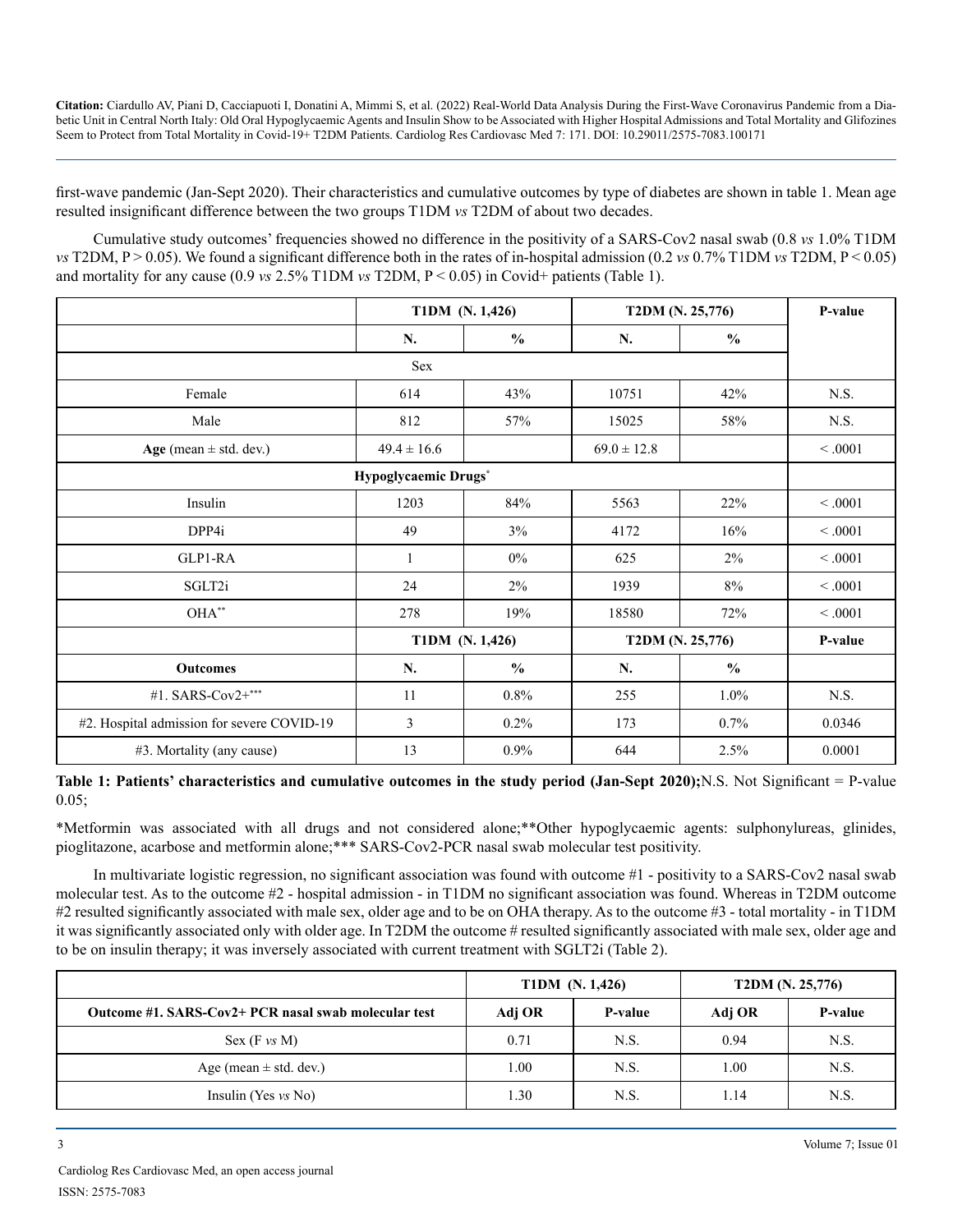first-wave pandemic (Jan-Sept 2020). Their characteristics and cumulative outcomes by type of diabetes are shown in table 1. Mean age resulted insignificant difference between the two groups T1DM *vs* T2DM of about two decades.

Cumulative study outcomes' frequencies showed no difference in the positivity of a SARS-Cov2 nasal swab (0.8 *vs* 1.0% T1DM *vs* T2DM, P > 0.05). We found a significant difference both in the rates of in-hospital admission (0.2 *vs* 0.7% T1DM *vs* T2DM, P < 0.05) and mortality for any cause  $(0.9 \text{ vs } 2.5\% \text{ T1DM vs } T2DM, P < 0.05)$  in Covid+ patients (Table 1).

|                                            | T1DM (N. 1,426) |               | T2DM (N. 25,776) |               | P-value |  |  |
|--------------------------------------------|-----------------|---------------|------------------|---------------|---------|--|--|
|                                            | N.              | $\frac{0}{0}$ | N.               | $\frac{6}{6}$ |         |  |  |
| Sex                                        |                 |               |                  |               |         |  |  |
| Female                                     | 614             | 43%           | 10751            | 42%           | N.S.    |  |  |
| Male                                       | 812             | 57%           | 15025            | 58%           | N.S.    |  |  |
| Age (mean $\pm$ std. dev.)                 | $49.4 \pm 16.6$ |               | $69.0 \pm 12.8$  |               | < 0.001 |  |  |
| Hypoglycaemic Drugs*                       |                 |               |                  |               |         |  |  |
| Insulin                                    | 1203            | 84%           | 5563             | 22%           | < 0.001 |  |  |
| DPP4i                                      | 49              | 3%            | 4172             | 16%           | < 0.001 |  |  |
| GLP1-RA                                    | 1               | $0\%$         | 625              | 2%            | < .0001 |  |  |
| SGLT2i                                     | 24              | 2%            | 1939             | 8%            | < 0.001 |  |  |
| $OHA^{**}$                                 | 278             | 19%           | 18580            | 72%           | < 0.001 |  |  |
|                                            | T1DM (N. 1,426) |               | T2DM (N. 25,776) |               | P-value |  |  |
| <b>Outcomes</b>                            | N.              | $\frac{0}{0}$ | N.               | $\frac{0}{0}$ |         |  |  |
| #1. SARS-Cov2+***                          | 11              | $0.8\%$       | 255              | $1.0\%$       | N.S.    |  |  |
| #2. Hospital admission for severe COVID-19 | 3               | $0.2\%$       | 173              | $0.7\%$       | 0.0346  |  |  |
| #3. Mortality (any cause)                  | 13              | 0.9%          | 644              | 2.5%          | 0.0001  |  |  |

**Table 1: Patients' characteristics and cumulative outcomes in the study period (Jan-Sept 2020);**N.S. Not Significant = P-value 0.05;

\*Metformin was associated with all drugs and not considered alone;\*\*Other hypoglycaemic agents: sulphonylureas, glinides, pioglitazone, acarbose and metformin alone;\*\*\* SARS-Cov2-PCR nasal swab molecular test positivity.

In multivariate logistic regression, no significant association was found with outcome #1 - positivity to a SARS-Cov2 nasal swab molecular test. As to the outcome #2 - hospital admission - in T1DM no significant association was found. Whereas in T2DM outcome #2 resulted significantly associated with male sex, older age and to be on OHA therapy. As to the outcome #3 - total mortality - in T1DM it was significantly associated only with older age. In T2DM the outcome # resulted significantly associated with male sex, older age and to be on insulin therapy; it was inversely associated with current treatment with SGLT2i (Table 2).

|                                                      | T1DM (N. 1,426) |         | T2DM (N. 25,776) |         |
|------------------------------------------------------|-----------------|---------|------------------|---------|
| Outcome #1. SARS-Cov2+ PCR nasal swab molecular test | Adj OR          | P-value | Adj OR           | P-value |
| Sex (F vs M)                                         | 0.71            | N.S.    | 0.94             | N.S.    |
| Age (mean $\pm$ std. dev.)                           | .00.            | N.S.    | 1.00             | N.S.    |
| Insulin (Yes $vs$ No)                                | .30             | N.S.    | 1.14             | N.S.    |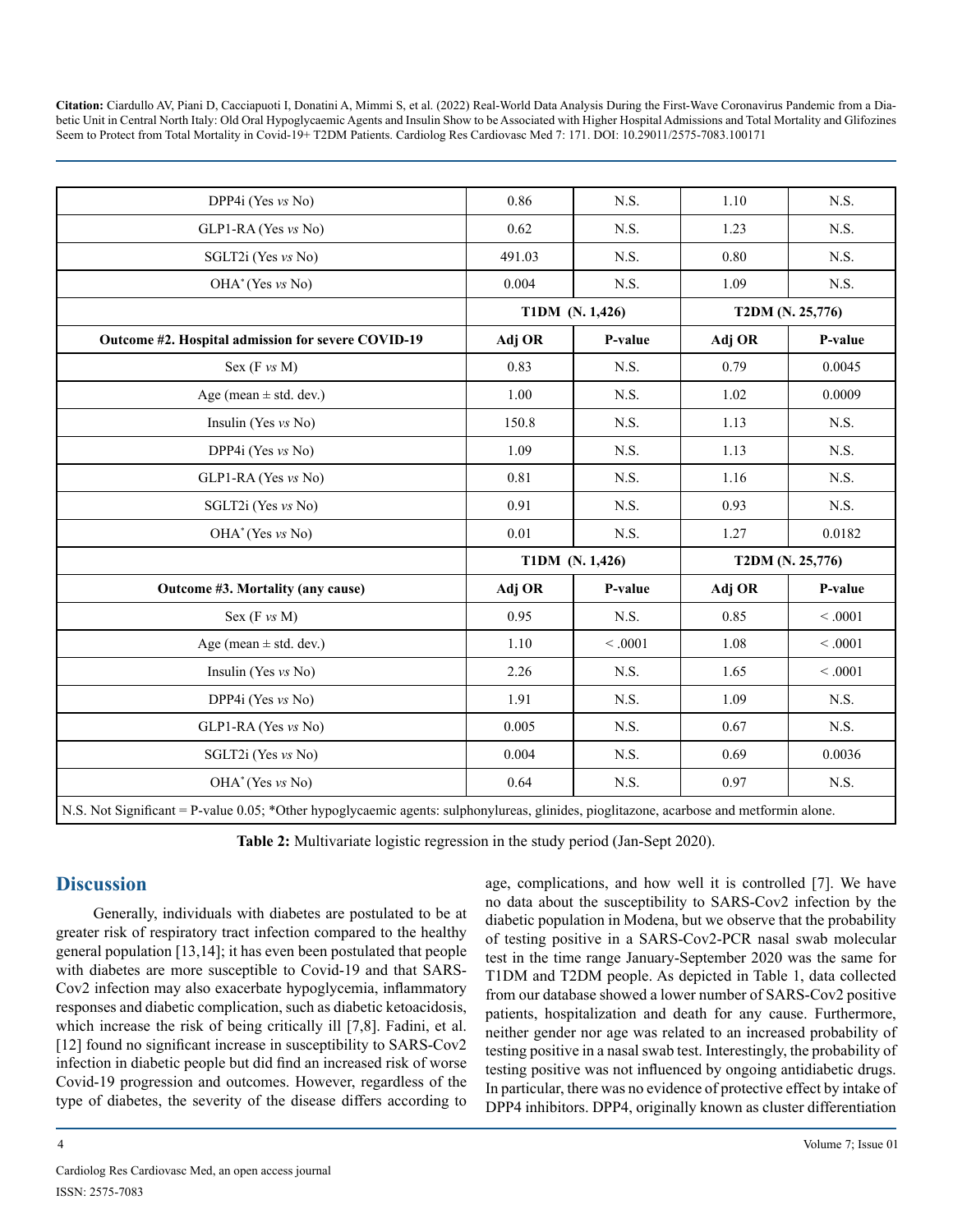| DPP4i (Yes vs No)                                                                                                                       | 0.86            | N.S.    | 1.10             | N.S.    |
|-----------------------------------------------------------------------------------------------------------------------------------------|-----------------|---------|------------------|---------|
| GLP1-RA (Yes vs No)                                                                                                                     | 0.62            | N.S.    | 1.23             | N.S.    |
| SGLT2i (Yes vs No)                                                                                                                      | 491.03          | N.S.    | 0.80             | N.S.    |
| OHA <sup>*</sup> (Yes vs No)                                                                                                            | 0.004           | N.S.    | 1.09             | N.S.    |
|                                                                                                                                         | T1DM (N. 1,426) |         | T2DM (N. 25,776) |         |
| Outcome #2. Hospital admission for severe COVID-19                                                                                      | Adj OR          | P-value | Adj OR           | P-value |
| Sex $(F vs M)$                                                                                                                          | 0.83            | N.S.    | 0.79             | 0.0045  |
| Age (mean $\pm$ std. dev.)                                                                                                              | 1.00            | N.S.    | 1.02             | 0.0009  |
| Insulin (Yes $vs$ No)                                                                                                                   | 150.8           | N.S.    | 1.13             | N.S.    |
| DPP4i (Yes vs No)                                                                                                                       | 1.09            | N.S.    | 1.13             | N.S.    |
| GLP1-RA (Yes vs No)                                                                                                                     | 0.81            | N.S.    | 1.16             | N.S.    |
| SGLT2i (Yes vs No)                                                                                                                      | 0.91            | N.S.    | 0.93             | N.S.    |
| OHA <sup>*</sup> (Yes vs No)                                                                                                            | 0.01            | N.S.    | 1.27             | 0.0182  |
|                                                                                                                                         | T1DM (N. 1,426) |         | T2DM (N. 25,776) |         |
| Outcome #3. Mortality (any cause)                                                                                                       | Adj OR          | P-value | Adj OR           | P-value |
| Sex $(F vs M)$                                                                                                                          | 0.95            | N.S.    | 0.85             | < 0.001 |
| Age (mean $\pm$ std. dev.)                                                                                                              | 1.10            | < 0.001 | 1.08             | < 0.001 |
| Insulin (Yes vs No)                                                                                                                     | 2.26            | N.S.    | 1.65             | < 0.001 |
| DPP4i (Yes vs No)                                                                                                                       | 1.91            | N.S.    | 1.09             | N.S.    |
| $GLP1-RA$ (Yes $vs$ No)                                                                                                                 | 0.005           | N.S.    | 0.67             | N.S.    |
| SGLT2i (Yes vs No)                                                                                                                      | 0.004           | N.S.    | 0.69             | 0.0036  |
| $OHA^*$ (Yes vs No)                                                                                                                     | 0.64            | N.S.    | 0.97             | N.S.    |
| N.S. Not Significant = P-value 0.05; *Other hypoglycaemic agents: sulphonylureas, glinides, pioglitazone, acarbose and metformin alone. |                 |         |                  |         |

**Table 2:** Multivariate logistic regression in the study period (Jan-Sept 2020).

# **Discussion**

Generally, individuals with diabetes are postulated to be at greater risk of respiratory tract infection compared to the healthy general population [13,14]; it has even been postulated that people with diabetes are more susceptible to Covid-19 and that SARS-Cov2 infection may also exacerbate hypoglycemia, inflammatory responses and diabetic complication, such as diabetic ketoacidosis, which increase the risk of being critically ill [7,8]. Fadini, et al. [12] found no significant increase in susceptibility to SARS-Cov2 infection in diabetic people but did find an increased risk of worse Covid-19 progression and outcomes. However, regardless of the type of diabetes, the severity of the disease differs according to

age, complications, and how well it is controlled [7]. We have no data about the susceptibility to SARS-Cov2 infection by the diabetic population in Modena, but we observe that the probability of testing positive in a SARS-Cov2-PCR nasal swab molecular test in the time range January-September 2020 was the same for T1DM and T2DM people. As depicted in Table 1, data collected from our database showed a lower number of SARS-Cov2 positive patients, hospitalization and death for any cause. Furthermore, neither gender nor age was related to an increased probability of testing positive in a nasal swab test. Interestingly, the probability of testing positive was not influenced by ongoing antidiabetic drugs. In particular, there was no evidence of protective effect by intake of DPP4 inhibitors. DPP4, originally known as cluster differentiation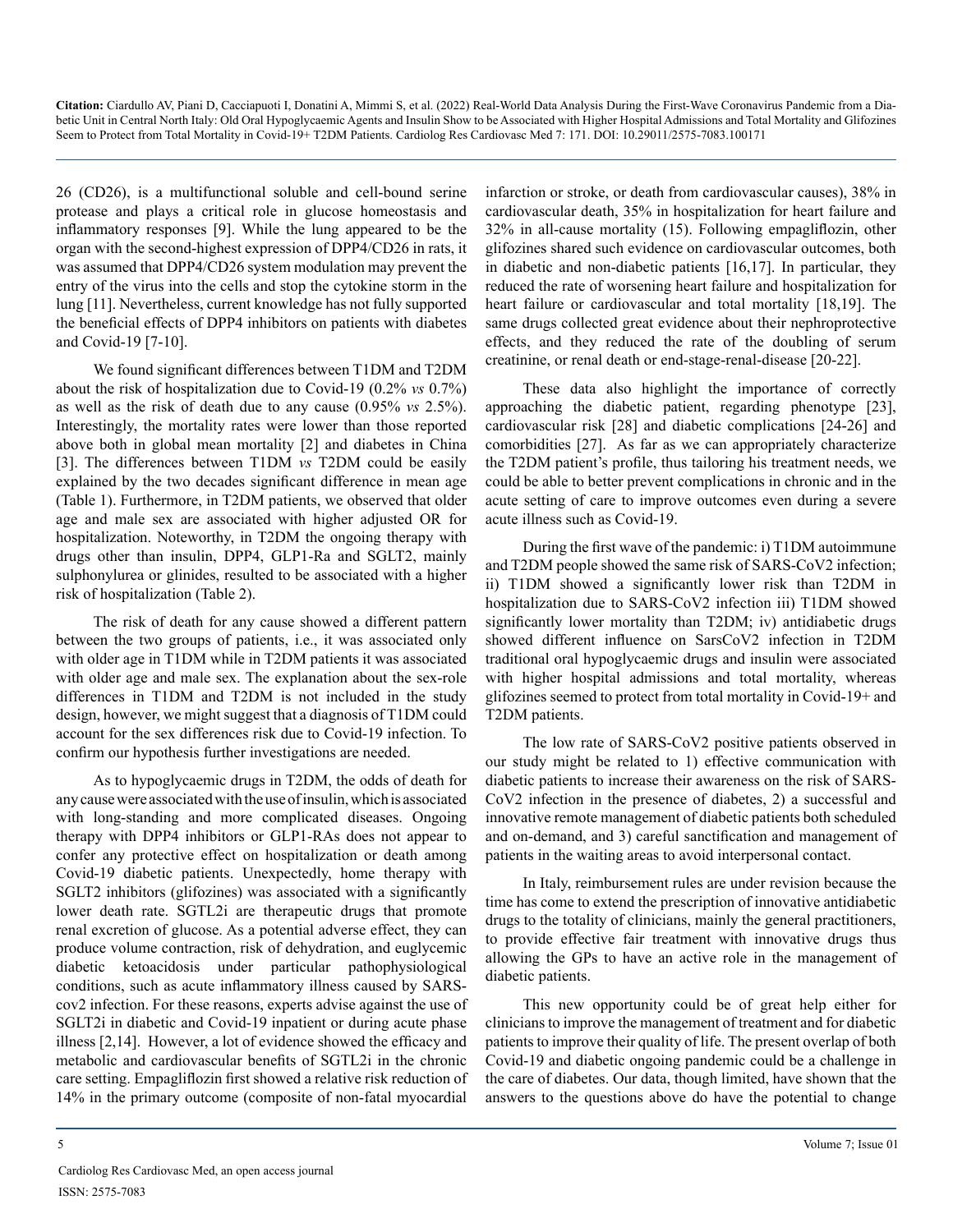26 (CD26), is a multifunctional soluble and cell-bound serine protease and plays a critical role in glucose homeostasis and inflammatory responses [9]. While the lung appeared to be the organ with the second-highest expression of DPP4/CD26 in rats, it was assumed that DPP4/CD26 system modulation may prevent the entry of the virus into the cells and stop the cytokine storm in the lung [11]. Nevertheless, current knowledge has not fully supported the beneficial effects of DPP4 inhibitors on patients with diabetes and Covid-19 [7-10].

We found significant differences between T1DM and T2DM about the risk of hospitalization due to Covid-19 (0.2% *vs* 0.7%) as well as the risk of death due to any cause (0.95% *vs* 2.5%). Interestingly, the mortality rates were lower than those reported above both in global mean mortality [2] and diabetes in China [3]. The differences between T1DM *vs* T2DM could be easily explained by the two decades significant difference in mean age (Table 1). Furthermore, in T2DM patients, we observed that older age and male sex are associated with higher adjusted OR for hospitalization. Noteworthy, in T2DM the ongoing therapy with drugs other than insulin, DPP4, GLP1-Ra and SGLT2, mainly sulphonylurea or glinides, resulted to be associated with a higher risk of hospitalization (Table 2).

The risk of death for any cause showed a different pattern between the two groups of patients, i.e., it was associated only with older age in T1DM while in T2DM patients it was associated with older age and male sex. The explanation about the sex-role differences in T1DM and T2DM is not included in the study design, however, we might suggest that a diagnosis of T1DM could account for the sex differences risk due to Covid-19 infection. To confirm our hypothesis further investigations are needed.

As to hypoglycaemic drugs in T2DM, the odds of death for any cause were associated with the use of insulin, which is associated with long-standing and more complicated diseases. Ongoing therapy with DPP4 inhibitors or GLP1-RAs does not appear to confer any protective effect on hospitalization or death among Covid-19 diabetic patients. Unexpectedly, home therapy with SGLT2 inhibitors (glifozines) was associated with a significantly lower death rate. SGTL2i are therapeutic drugs that promote renal excretion of glucose. As a potential adverse effect, they can produce volume contraction, risk of dehydration, and euglycemic diabetic ketoacidosis under particular pathophysiological conditions, such as acute inflammatory illness caused by SARScov2 infection. For these reasons, experts advise against the use of SGLT2i in diabetic and Covid-19 inpatient or during acute phase illness [2,14]. However, a lot of evidence showed the efficacy and metabolic and cardiovascular benefits of SGTL2i in the chronic care setting. Empagliflozin first showed a relative risk reduction of 14% in the primary outcome (composite of non-fatal myocardial

infarction or stroke, or death from cardiovascular causes), 38% in cardiovascular death, 35% in hospitalization for heart failure and 32% in all-cause mortality (15). Following empagliflozin, other glifozines shared such evidence on cardiovascular outcomes, both in diabetic and non-diabetic patients [16,17]. In particular, they reduced the rate of worsening heart failure and hospitalization for heart failure or cardiovascular and total mortality [18,19]. The same drugs collected great evidence about their nephroprotective effects, and they reduced the rate of the doubling of serum creatinine, or renal death or end-stage-renal-disease [20-22].

These data also highlight the importance of correctly approaching the diabetic patient, regarding phenotype [23], cardiovascular risk [28] and diabetic complications [24-26] and comorbidities [27]. As far as we can appropriately characterize the T2DM patient's profile, thus tailoring his treatment needs, we could be able to better prevent complications in chronic and in the acute setting of care to improve outcomes even during a severe acute illness such as Covid-19.

During the first wave of the pandemic: i) T1DM autoimmune and T2DM people showed the same risk of SARS-CoV2 infection; ii) T1DM showed a significantly lower risk than T2DM in hospitalization due to SARS-CoV2 infection iii) T1DM showed significantly lower mortality than T2DM; iv) antidiabetic drugs showed different influence on SarsCoV2 infection in T2DM traditional oral hypoglycaemic drugs and insulin were associated with higher hospital admissions and total mortality, whereas glifozines seemed to protect from total mortality in Covid-19+ and T2DM patients.

The low rate of SARS-CoV2 positive patients observed in our study might be related to 1) effective communication with diabetic patients to increase their awareness on the risk of SARS-CoV2 infection in the presence of diabetes, 2) a successful and innovative remote management of diabetic patients both scheduled and on-demand, and 3) careful sanctification and management of patients in the waiting areas to avoid interpersonal contact.

In Italy, reimbursement rules are under revision because the time has come to extend the prescription of innovative antidiabetic drugs to the totality of clinicians, mainly the general practitioners, to provide effective fair treatment with innovative drugs thus allowing the GPs to have an active role in the management of diabetic patients.

This new opportunity could be of great help either for clinicians to improve the management of treatment and for diabetic patients to improve their quality of life. The present overlap of both Covid-19 and diabetic ongoing pandemic could be a challenge in the care of diabetes. Our data, though limited, have shown that the answers to the questions above do have the potential to change